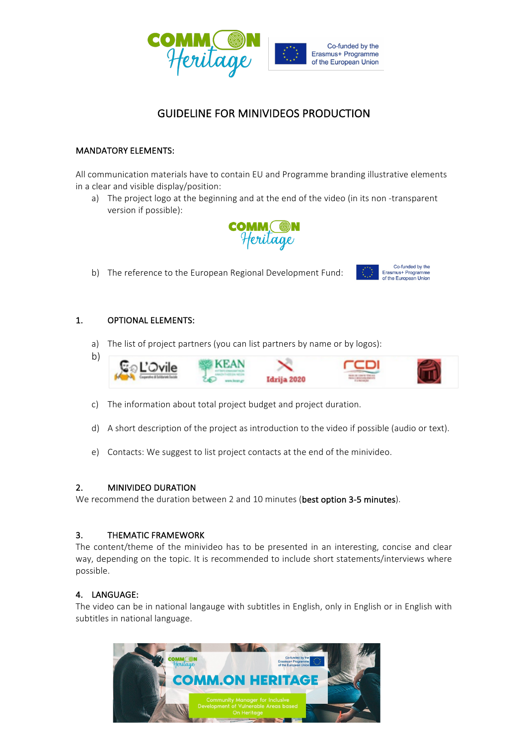

## **GUIDELINE FOR MINIVIDEOS PRODUCTION**

## **MANDATORY ELEMENTS:**

All communication materials have to contain EU and Programme branding illustrative elements in a clear and visible display/position:

a) The project logo at the beginning and at the end of the video (in its non-transparent version if possible):



Co-funded by the Erasmus+ Programme<br>of the European Union

b) The reference to the European Regional Development Fund:

## 1. OPTIONAL ELEMENTS:

a) The list of project partners (you can list partners by name or by logos):



- c) The information about total project budget and project duration.
- d) A short description of the project as introduction to the video if possible (audio or text).
- e) Contacts: We suggest to list project contacts at the end of the minivideo.

## 2. MINIVIDEO DURATION

We recommend the duration between 2 and 10 minutes (best option 3-5 minutes).

## 3. THEMATIC FRAMEWORK

The content/theme of the minivideo has to be presented in an interesting, concise and clear way, depending on the topic. It is recommended to include short statements/interviews where possible.

## 4. LANGUAGE:

The video can be in national langauge with subtitles in English, only in English or in English with subtitles in national language.

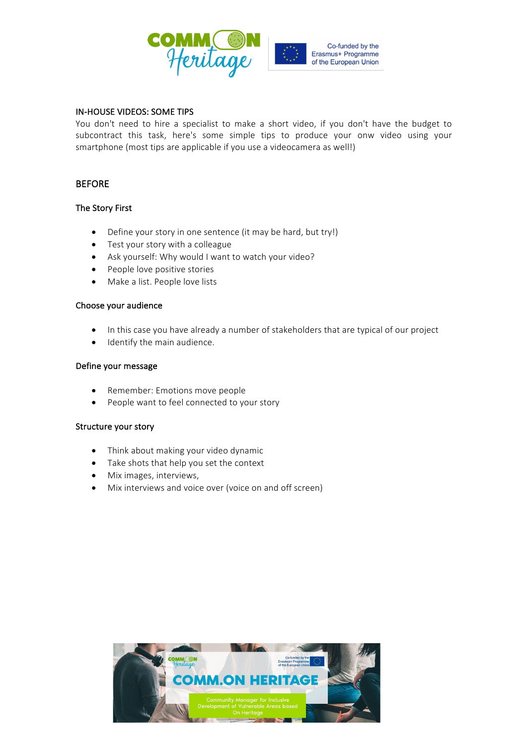

#### IN-HOUSE VIDEOS: SOME TIPS

You don't need to hire a specialist to make a short video, if you don't have the budget to subcontract this task, here's some simple tips to produce your onw video using your smartphone (most tips are applicable if you use a videocamera as well!)

## **BEFORE**

## **The Story First**

- Define your story in one sentence (it may be hard, but try!)
- $\bullet$  Test your story with a colleague
- Ask yourself: Why would I want to watch your video?
- $\bullet$  People love positive stories
- Make a list. People love lists

#### Choose your audience

- In this case you have already a number of stakeholders that are typical of our project
- Identify the main audience.

#### Define your message

- Remember: Emotions move people
- People want to feel connected to your story

#### Structure your story

- Think about making your video dynamic
- Take shots that help you set the context
- Mix images, interviews,
- Mix interviews and voice over (voice on and off screen)

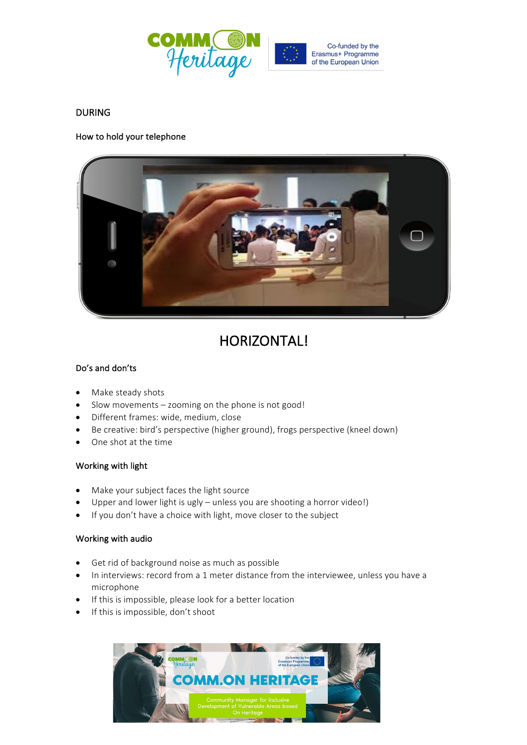

## DURING

## How to hold your telephone



# HORIZONTAL!

## Do's and don'ts

- Make steady shots
- Slow movements  $-$  zooming on the phone is not good!
- Different frames: wide, medium, close
- Be creative: bird's perspective (higher ground), frogs perspective (kneel down)
- One shot at the time

#### Working with light

- Make your subject faces the light source
- Upper and lower light is ugly  $-$  unless you are shooting a horror video!)
- If you don't have a choice with light, move closer to the subject

#### Working with audio

- Get rid of background noise as much as possible
- In interviews: record from a 1 meter distance from the interviewee, unless you have a microphone
- If this is impossible, please look for a better location
- $\bullet$  If this is impossible, don't shoot